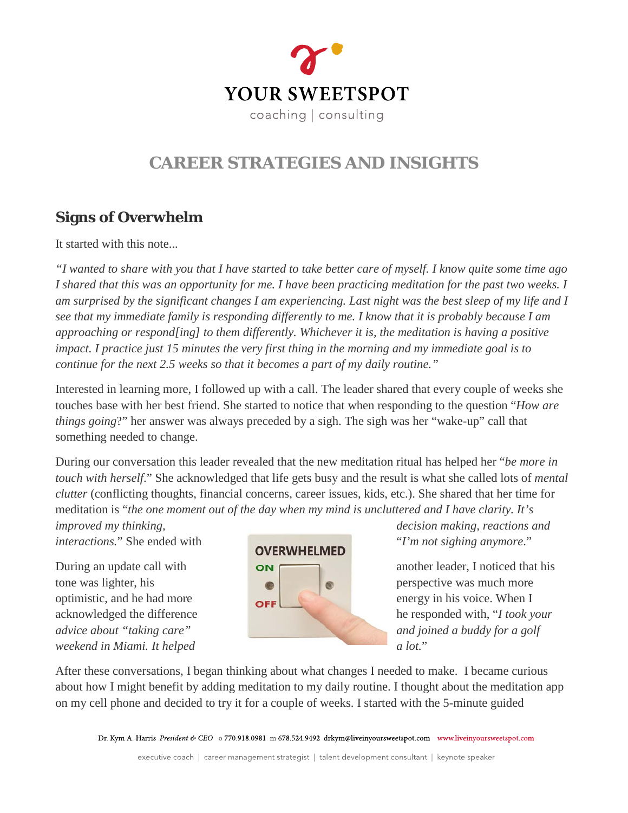

## **CAREER STRATEGIES AND INSIGHTS**

## **Signs of Overwhelm**

It started with this note...

*"I wanted to share with you that I have started to take better care of myself. I know quite some time ago I shared that this was an opportunity for me. I have been practicing meditation for the past two weeks. I am surprised by the significant changes I am experiencing. Last night was the best sleep of my life and I see that my immediate family is responding differently to me. I know that it is probably because I am approaching or respond[ing] to them differently. Whichever it is, the meditation is having a positive impact. I practice just 15 minutes the very first thing in the morning and my immediate goal is to continue for the next 2.5 weeks so that it becomes a part of my daily routine."*

Interested in learning more, I followed up with a call. The leader shared that every couple of weeks she touches base with her best friend. She started to notice that when responding to the question "*How are things going*?" her answer was always preceded by a sigh. The sigh was her "wake-up" call that something needed to change.

During our conversation this leader revealed that the new meditation ritual has helped her "*be more in touch with herself*." She acknowledged that life gets busy and the result is what she called lots of *mental clutter* (conflicting thoughts, financial concerns, career issues, kids, etc.). She shared that her time for meditation is "*the one moment out of the day when my mind is uncluttered and I have clarity. It's* 



*improved my thinking,*  $\qquad \qquad \qquad$  decision making, reactions and

During an update call with another leader, I noticed that his acknowledged the difference he responded with, "*I took your* 

After these conversations, I began thinking about what changes I needed to make. I became curious about how I might benefit by adding meditation to my daily routine. I thought about the meditation app on my cell phone and decided to try it for a couple of weeks. I started with the 5-minute guided